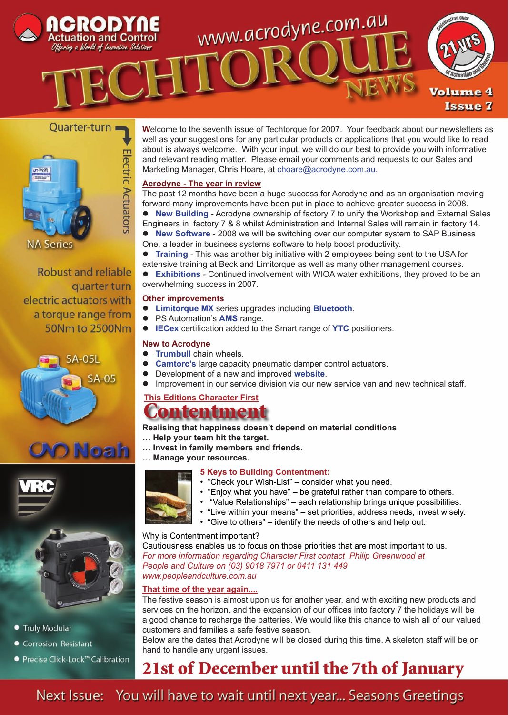

#### Quarter-turn =



Robust and reliable quarter turn electric actuators with a torque range from 50Nm to 2500Nm







- **Truly Modular**
- Corrosion Resistant
- Precise Click-Lock™ Calibration

**W**elcome to the seventh issue of Techtorque for 2007. Your feedback about our newsletters as well as your suggestions for any particular products or applications that you would like to read about is always welcome. With your input, we will do our best to provide you with informative and relevant reading matter. Please email your comments and requests to our Sales and Marketing Manager, Chris Hoare, at choare@acrodyne.com.au.

#### **Acrodyne - The year in review**

The past 12 months have been a huge success for Acrodyne and as an organisation moving forward many improvements have been put in place to achieve greater success in 2008.

- **New Building** Acrodyne ownership of factory 7 to unify the Workshop and External Sales Engineers in factory 7 & 8 whilst Administration and Internal Sales will remain in factory 14.
- **New Software** 2008 we will be switching over our computer system to SAP Business One, a leader in business systems software to help boost productivity.

 **Training** - This was another big initiative with 2 employees being sent to the USA for extensive training at Beck and Limitorque as well as many other management courses.

 **Exhibitions** - Continued involvement with WIOA water exhibitions, they proved to be an overwhelming success in 2007.

#### **Other improvements**

- **Limitorque MX** series upgrades including **Bluetooth**.
- PS Automation's **AMS** range.
- **IECex** certification added to the Smart range of **YTC** positioners.

#### **New to Acrodyne**

- **Trumbull** chain wheels.
- **Camtorc's** large capacity pneumatic damper control actuators.
- Development of a new and improved **website**.
- Improvement in our service division via our new service van and new technical staff.

### **This Editions Character First**

## Contentment

**Realising that happiness doesn't depend on material conditions**

- **… Help your team hit the target.**
- **… Invest in family members and friends.**
- **… Manage your resources.**

#### **5 Keys to Building Contentment:**

- "Check your Wish-List" consider what you need.
- "Enjoy what you have" be grateful rather than compare to others.
	- "Value Relationships" each relationship brings unique possibilities.
- "Live within your means" set priorities, address needs, invest wisely.
- "Give to others" identify the needs of others and help out.

#### Why is Contentment important?

Cautiousness enables us to focus on those priorities that are most important to us. *For more information regarding Character First contact Philip Greenwood at People and Culture on (03) 9018 7971 or 0411 131 449 www.peopleandculture.com.au* 

#### **That time of the year again....**

The festive season is almost upon us for another year, and with exciting new products and services on the horizon, and the expansion of our offices into factory 7 the holidays will be a good chance to recharge the batteries. We would like this chance to wish all of our valued customers and families a safe festive season.

Below are the dates that Acrodyne will be closed during this time. A skeleton staff will be on hand to handle any urgent issues.

## 21st of December until the 7th of January

Next Issue: You will have to wait until next year... Seasons Greetings